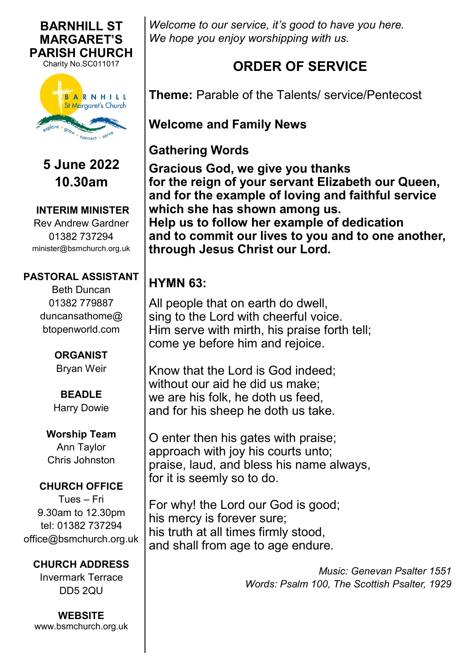

**BARNHILL ST** 

**5 June 2022 10.30am**

**INTERIM MINISTER** Rev Andrew Gardner 01382 737294 minister@bsmchurch.org.uk

#### **PASTORAL ASSISTANT**

Beth Duncan 01382 779887 duncansathome@ btopenworld.com

> **ORGANIST** Bryan Weir

**BEADLE** Harry Dowie

**Worship Team** Ann Taylor Chris Johnston

#### **CHURCH OFFICE**

Tues – Fri 9.30am to 12.30pm tel: 01382 737294 office@bsmchurch.org.uk

#### **CHURCH ADDRESS**

Invermark Terrace DD5 2QU

**WEBSITE** [www.bsmchurch.org.uk](http://www.bsmchurch.org.uk) *Welcome to our service, it's good to have you here. We hope you enjoy worshipping with us.* 

# **ORDER OF SERVICE**

**Theme:** Parable of the Talents/ service/Pentecost

**Welcome and Family News**

**Gathering Words**

**Gracious God, we give you thanks for the reign of your servant Elizabeth our Queen, and for the example of loving and faithful service which she has shown among us. Help us to follow her example of dedication and to commit our lives to you and to one another, through Jesus Christ our Lord.**

# **HYMN 63:**

All people that on earth do dwell, sing to the Lord with cheerful voice. Him serve with mirth, his praise forth tell; come ye before him and rejoice.

Know that the Lord is God indeed; without our aid he did us make; we are his folk, he doth us feed, and for his sheep he doth us take.

O enter then his gates with praise; approach with joy his courts unto; praise, laud, and bless his name always, for it is seemly so to do.

For why! the Lord our God is good; his mercy is forever sure; his truth at all times firmly stood, and shall from age to age endure.

> *Music: Genevan Psalter 1551 Words: Psalm 100, The Scottish Psalter, 1929*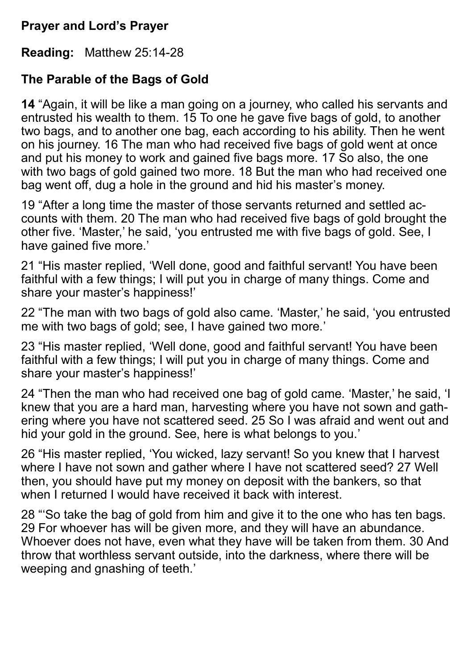#### **Prayer and Lord's Prayer**

**Reading:** Matthew 25:14-28

## **The Parable of the Bags of Gold**

**14** "Again, it will be like a man going on a journey, who called his servants and entrusted his wealth to them. 15 To one he gave five bags of gold, to another two bags, and to another one bag, each according to his ability. Then he went on his journey. 16 The man who had received five bags of gold went at once and put his money to work and gained five bags more. 17 So also, the one with two bags of gold gained two more. 18 But the man who had received one bag went off, dug a hole in the ground and hid his master's money.

19 "After a long time the master of those servants returned and settled accounts with them. 20 The man who had received five bags of gold brought the other five. 'Master,' he said, 'you entrusted me with five bags of gold. See, I have gained five more.'

21 "His master replied, 'Well done, good and faithful servant! You have been faithful with a few things; I will put you in charge of many things. Come and share your master's happiness!'

22 "The man with two bags of gold also came. 'Master,' he said, 'you entrusted me with two bags of gold; see, I have gained two more.'

23 "His master replied, 'Well done, good and faithful servant! You have been faithful with a few things; I will put you in charge of many things. Come and share your master's happiness!'

24 "Then the man who had received one bag of gold came. 'Master,' he said, 'I knew that you are a hard man, harvesting where you have not sown and gathering where you have not scattered seed. 25 So I was afraid and went out and hid your gold in the ground. See, here is what belongs to you.'

26 "His master replied, 'You wicked, lazy servant! So you knew that I harvest where I have not sown and gather where I have not scattered seed? 27 Well then, you should have put my money on deposit with the bankers, so that when I returned I would have received it hack with interest.

28 "'So take the bag of gold from him and give it to the one who has ten bags. 29 For whoever has will be given more, and they will have an abundance. Whoever does not have, even what they have will be taken from them. 30 And throw that worthless servant outside, into the darkness, where there will be weeping and gnashing of teeth.'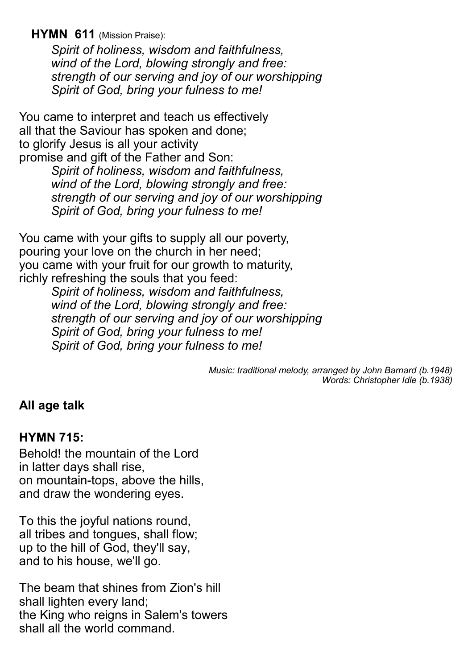**HYMN 611** (Mission Praise):

*Spirit of holiness, wisdom and faithfulness, wind of the Lord, blowing strongly and free: strength of our serving and joy of our worshipping Spirit of God, bring your fulness to me!*

You came to interpret and teach us effectively all that the Saviour has spoken and done; to glorify Jesus is all your activity promise and gift of the Father and Son: *Spirit of holiness, wisdom and faithfulness, wind of the Lord, blowing strongly and free: strength of our serving and joy of our worshipping*

*Spirit of God, bring your fulness to me!*

You came with your gifts to supply all our poverty, pouring your love on the church in her need; you came with your fruit for our growth to maturity, richly refreshing the souls that you feed:

*Spirit of holiness, wisdom and faithfulness, wind of the Lord, blowing strongly and free: strength of our serving and joy of our worshipping Spirit of God, bring your fulness to me! Spirit of God, bring your fulness to me!*

> *Music: traditional melody, arranged by John Barnard (b.1948) Words: Christopher Idle (b.1938)*

#### **All age talk**

#### **HYMN 715:**

Behold! the mountain of the Lord in latter days shall rise, on mountain-tops, above the hills, and draw the wondering eyes.

To this the joyful nations round, all tribes and tongues, shall flow; up to the hill of God, they'll say, and to his house, we'll go.

The beam that shines from Zion's hill shall lighten every land; the King who reigns in Salem's towers shall all the world command.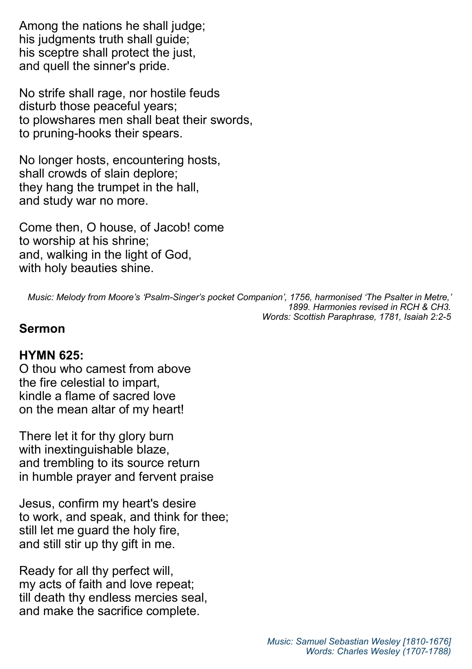Among the nations he shall judge; his judgments truth shall quide: his sceptre shall protect the just, and quell the sinner's pride.

No strife shall rage, nor hostile feuds disturb those peaceful years; to plowshares men shall beat their swords, to pruning-hooks their spears.

No longer hosts, encountering hosts, shall crowds of slain deplore; they hang the trumpet in the hall, and study war no more.

Come then, O house, of Jacob! come to worship at his shrine; and, walking in the light of God, with holy beauties shine.

*Music: Melody from Moore's 'Psalm-Singer's pocket Companion', 1756, harmonised 'The Psalter in Metre,' 1899. Harmonies revised in RCH & CH3. Words: Scottish Paraphrase, 1781, Isaiah 2:2-5*

#### **Sermon**

#### **HYMN 625:**

O thou who camest from above the fire celestial to impart, kindle a flame of sacred love on the mean altar of my heart!

There let it for thy glory burn with inextinguishable blaze, and trembling to its source return in humble prayer and fervent praise

Jesus, confirm my heart's desire to work, and speak, and think for thee; still let me guard the holy fire, and still stir up thy gift in me.

Ready for all thy perfect will, my acts of faith and love repeat; till death thy endless mercies seal, and make the sacrifice complete.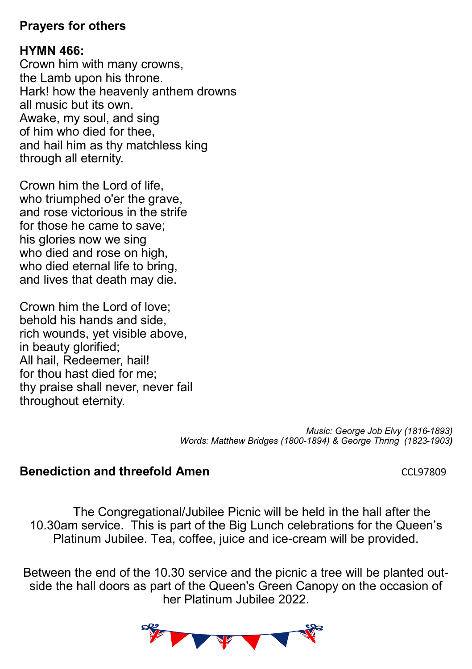#### **Prayers for others**

#### **HYMN 466:**

Crown him with many crowns, the Lamb upon his throne. Hark! how the heavenly anthem drowns all music but its own. Awake, my soul, and sing of him who died for thee, and hail him as thy matchless king through all eternity.

Crown him the Lord of life, who triumphed o'er the grave, and rose victorious in the strife for those he came to save; his glories now we sing who died and rose on high, who died eternal life to bring. and lives that death may die.

Crown him the Lord of love; behold his hands and side, rich wounds, yet visible above, in beauty glorified; All hail, Redeemer, hail! for thou hast died for me; thy praise shall never, never fail throughout eternity.

> *Music: George Job Elvy (1816-1893) Words: Matthew Bridges (1800-1894) & George Thring (1823-1903)*

## **Benediction and threefold Amen** CL97809

The Congregational/Jubilee Picnic will be held in the hall after the 10.30am service. This is part of the Big Lunch celebrations for the Queen's Platinum Jubilee. Tea, coffee, juice and ice-cream will be provided.

Between the end of the 10.30 service and the picnic a tree will be planted outside the hall doors as part of the Queen's Green Canopy on the occasion of her Platinum Jubilee 2022.

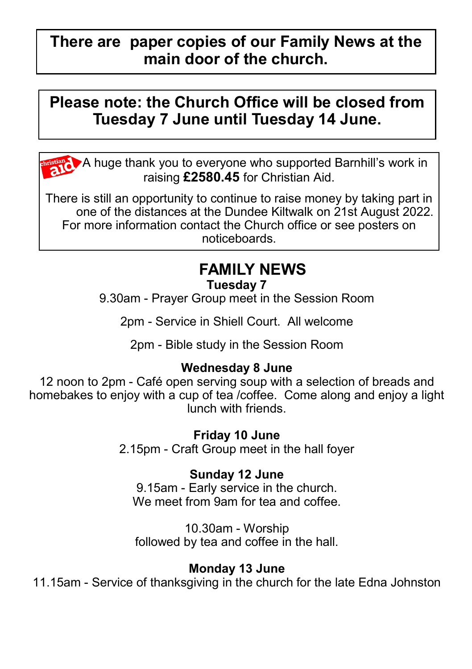# **There are paper copies of our Family News at the main door of the church.**

# **Please note: the Church Office will be closed from Tuesday 7 June until Tuesday 14 June.**

A huge thank you to everyone who supported Barnhill's work in raising **£2580.45** for Christian Aid.

There is still an opportunity to continue to raise money by taking part in one of the distances at the Dundee Kiltwalk on 21st August 2022. For more information contact the Church office or see posters on noticeboards.

# **FAMILY NEWS**

#### **Tuesday 7**

9.30am - Prayer Group meet in the Session Room

2pm - Service in Shiell Court. All welcome

2pm - Bible study in the Session Room

# **Wednesday 8 June**

12 noon to 2pm - Café open serving soup with a selection of breads and homebakes to enjoy with a cup of tea /coffee. Come along and enjoy a light lunch with friends.

**Friday 10 June**

2.15pm - Craft Group meet in the hall foyer

#### **Sunday 12 June**

9.15am - Early service in the church. We meet from 9am for tea and coffee.

10.30am - Worship followed by tea and coffee in the hall.

#### **Monday 13 June**

11.15am - Service of thanksgiving in the church for the late Edna Johnston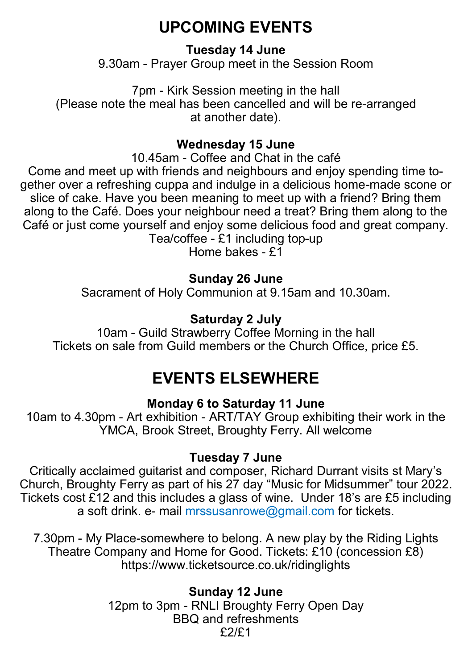# **UPCOMING EVENTS**

## **Tuesday 14 June**

9.30am - Prayer Group meet in the Session Room

7pm - Kirk Session meeting in the hall (Please note the meal has been cancelled and will be re-arranged at another date).

## **Wednesday 15 June**

10.45am - Coffee and Chat in the café

Come and meet up with friends and neighbours and enjoy spending time together over a refreshing cuppa and indulge in a delicious home-made scone or slice of cake. Have you been meaning to meet up with a friend? Bring them along to the Café. Does your neighbour need a treat? Bring them along to the Café or just come yourself and enjoy some delicious food and great company. Tea/coffee - £1 including top-up

Home bakes - £1

# **Sunday 26 June**

Sacrament of Holy Communion at 9.15am and 10.30am.

# **Saturday 2 July**

10am - Guild Strawberry Coffee Morning in the hall Tickets on sale from Guild members or the Church Office, price £5.

# **EVENTS ELSEWHERE**

# **Monday 6 to Saturday 11 June**

10am to 4.30pm - Art exhibition - ART/TAY Group exhibiting their work in the YMCA, Brook Street, Broughty Ferry. All welcome

#### **Tuesday 7 June**

Critically acclaimed guitarist and composer, Richard Durrant visits st Mary's Church, Broughty Ferry as part of his 27 day "Music for Midsummer" tour 2022. Tickets cost £12 and this includes a glass of wine. Under 18's are £5 including a soft drink. e- mail mrssusanrowe@gmail.com for tickets.

7.30pm - My Place-somewhere to belong. A new play by the Riding Lights Theatre Company and Home for Good. Tickets: £10 (concession £8) https://www.ticketsource.co.uk/ridinglights

> **Sunday 12 June** 12pm to 3pm - RNLI Broughty Ferry Open Day BBQ and refreshments £2/£1